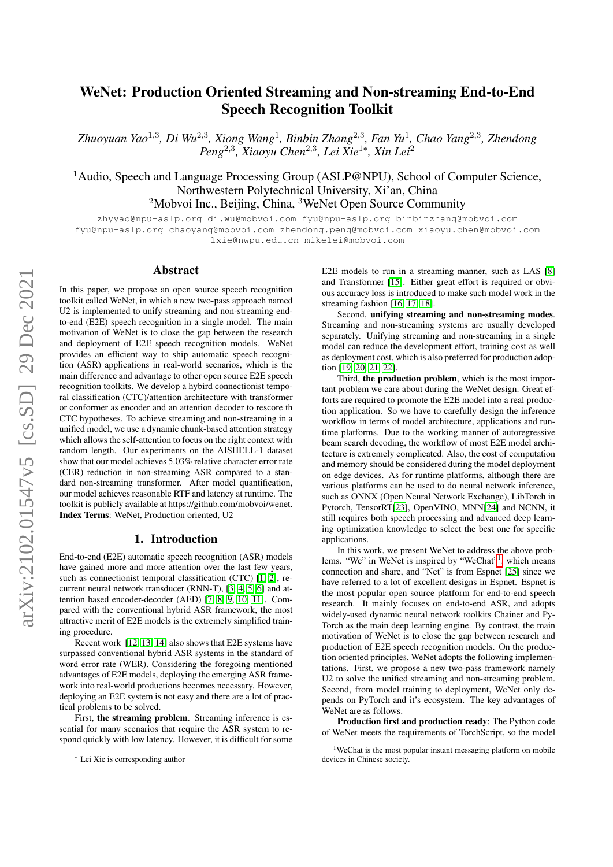# WeNet: Production Oriented Streaming and Non-streaming End-to-End Speech Recognition Toolkit

*Zhuoyuan Yao*<sup>1</sup>,<sup>3</sup> *, Di Wu*<sup>2</sup>,<sup>3</sup> *, Xiong Wang*<sup>1</sup> *, Binbin Zhang*<sup>2</sup>,<sup>3</sup> *, Fan Yu*<sup>1</sup> *, Chao Yang*<sup>2</sup>,<sup>3</sup> *, Zhendong Peng*<sup>2</sup>,<sup>3</sup> *, Xiaoyu Chen*<sup>2</sup>,<sup>3</sup> *, Lei Xie*<sup>1</sup><sup>∗</sup> *, Xin Lei*<sup>2</sup>

<sup>1</sup>Audio, Speech and Language Processing Group (ASLP@NPU), School of Computer Science, Northwestern Polytechnical University, Xi'an, China <sup>2</sup>Mobvoi Inc., Beijing, China, <sup>3</sup>WeNet Open Source Community

zhyyao@npu-aslp.org di.wu@mobvoi.com fyu@npu-aslp.org binbinzhang@mobvoi.com fyu@npu-aslp.org chaoyang@mobvoi.com zhendong.peng@mobvoi.com xiaoyu.chen@mobvoi.com lxie@nwpu.edu.cn mikelei@mobvoi.com

### Abstract

In this paper, we propose an open source speech recognition toolkit called WeNet, in which a new two-pass approach named U2 is implemented to unify streaming and non-streaming endto-end (E2E) speech recognition in a single model. The main motivation of WeNet is to close the gap between the research and deployment of E2E speech recognition models. WeNet provides an efficient way to ship automatic speech recognition (ASR) applications in real-world scenarios, which is the main difference and advantage to other open source E2E speech recognition toolkits. We develop a hybird connectionist temporal classification (CTC)/attention architecture with transformer or conformer as encoder and an attention decoder to rescore th CTC hypotheses. To achieve streaming and non-streaming in a unified model, we use a dynamic chunk-based attention strategy which allows the self-attention to focus on the right context with random length. Our experiments on the AISHELL-1 dataset show that our model achieves 5.03% relative character error rate (CER) reduction in non-streaming ASR compared to a standard non-streaming transformer. After model quantification, our model achieves reasonable RTF and latency at runtime. The toolkit is publicly available at https://github.com/mobvoi/wenet. Index Terms: WeNet, Production oriented, U2

### 1. Introduction

End-to-end (E2E) automatic speech recognition (ASR) models have gained more and more attention over the last few years, such as connectionist temporal classification (CTC) [\[1,](#page-4-0) [2\]](#page-4-1), recurrent neural network transducer (RNN-T), [\[3,](#page-4-2) [4,](#page-4-3) [5,](#page-4-4) [6\]](#page-4-5) and attention based encoder-decoder (AED) [\[7,](#page-4-6) [8,](#page-4-7) [9,](#page-4-8) [10,](#page-4-9) [11\]](#page-4-10). Compared with the conventional hybrid ASR framework, the most attractive merit of E2E models is the extremely simplified training procedure.

Recent work [\[12,](#page-4-11) [13,](#page-4-12) [14\]](#page-4-13) also shows that E2E systems have surpassed conventional hybrid ASR systems in the standard of word error rate (WER). Considering the foregoing mentioned advantages of E2E models, deploying the emerging ASR framework into real-world productions becomes necessary. However, deploying an E2E system is not easy and there are a lot of practical problems to be solved.

First, the streaming problem. Streaming inference is essential for many scenarios that require the ASR system to respond quickly with low latency. However, it is difficult for some

E2E models to run in a streaming manner, such as LAS [\[8\]](#page-4-7) and Transformer [\[15\]](#page-4-14). Either great effort is required or obvious accuracy loss is introduced to make such model work in the streaming fashion [\[16,](#page-4-15) [17,](#page-4-16) [18\]](#page-4-17).

Second, unifying streaming and non-streaming modes. Streaming and non-streaming systems are usually developed separately. Unifying streaming and non-streaming in a single model can reduce the development effort, training cost as well as deployment cost, which is also preferred for production adoption [\[19,](#page-4-18) [20,](#page-4-19) [21,](#page-4-20) [22\]](#page-4-21).

Third, the production problem, which is the most important problem we care about during the WeNet design. Great efforts are required to promote the E2E model into a real production application. So we have to carefully design the inference workflow in terms of model architecture, applications and runtime platforms. Due to the working manner of autoregressive beam search decoding, the workflow of most E2E model architecture is extremely complicated. Also, the cost of computation and memory should be considered during the model deployment on edge devices. As for runtime platforms, although there are various platforms can be used to do neural network inference, such as ONNX (Open Neural Network Exchange), LibTorch in Pytorch, TensorRT[\[23\]](#page-4-22), OpenVINO, MNN[\[24\]](#page-4-23) and NCNN, it still requires both speech processing and advanced deep learning optimization knowledge to select the best one for specific applications.

In this work, we present WeNet to address the above prob-lems. "We" in WeNet is inspired by "WeChat"<sup>[1](#page-0-0)</sup>, which means connection and share, and "Net" is from Espnet [\[25\]](#page-4-24) since we have referred to a lot of excellent designs in Espnet. Espnet is the most popular open source platform for end-to-end speech research. It mainly focuses on end-to-end ASR, and adopts widely-used dynamic neural network toolkits Chainer and Py-Torch as the main deep learning engine. By contrast, the main motivation of WeNet is to close the gap between research and production of E2E speech recognition models. On the production oriented principles, WeNet adopts the following implementations. First, we propose a new two-pass framework namely U2 to solve the unified streaming and non-streaming problem. Second, from model training to deployment, WeNet only depends on PyTorch and it's ecosystem. The key advantages of WeNet are as follows.

Production first and production ready: The Python code of WeNet meets the requirements of TorchScript, so the model

<sup>∗</sup> Lei Xie is corresponding author

<span id="page-0-0"></span><sup>&</sup>lt;sup>1</sup>WeChat is the most popular instant messaging platform on mobile devices in Chinese society.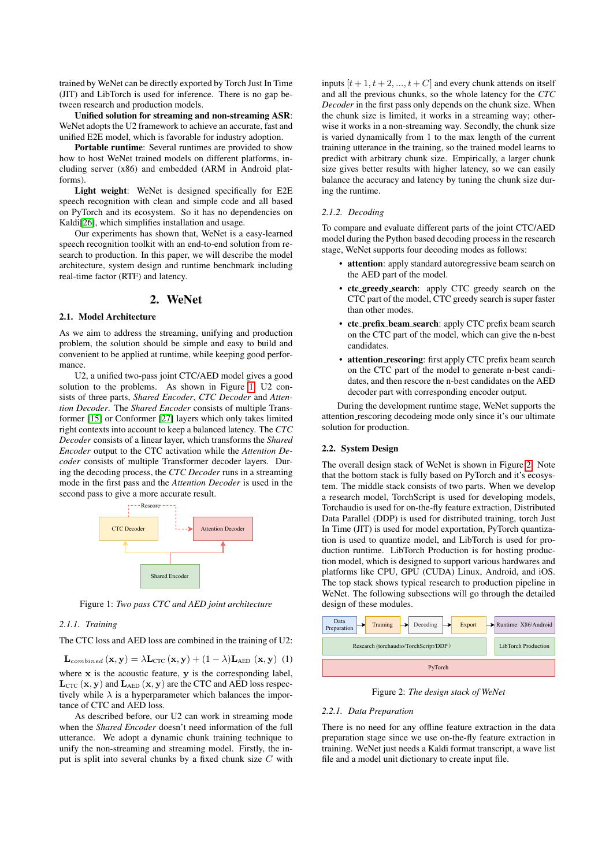trained by WeNet can be directly exported by Torch Just In Time (JIT) and LibTorch is used for inference. There is no gap between research and production models.

Unified solution for streaming and non-streaming ASR: WeNet adopts the U2 framework to achieve an accurate, fast and unified E2E model, which is favorable for industry adoption.

Portable runtime: Several runtimes are provided to show how to host WeNet trained models on different platforms, including server (x86) and embedded (ARM in Android platforms).

Light weight: WeNet is designed specifically for E2E speech recognition with clean and simple code and all based on PyTorch and its ecosystem. So it has no dependencies on Kaldi<sup>[\[26\]](#page-4-25)</sup>, which simplifies installation and usage.

Our experiments has shown that, WeNet is a easy-learned speech recognition toolkit with an end-to-end solution from research to production. In this paper, we will describe the model architecture, system design and runtime benchmark including real-time factor (RTF) and latency.

# 2. WeNet

### 2.1. Model Architecture

As we aim to address the streaming, unifying and production problem, the solution should be simple and easy to build and convenient to be applied at runtime, while keeping good performance.

U2, a unified two-pass joint CTC/AED model gives a good solution to the problems. As shown in Figure [1,](#page-1-0) U2 consists of three parts, *Shared Encoder*, *CTC Decoder* and *Attention Decoder*. The *Shared Encoder* consists of multiple Transformer [\[15\]](#page-4-14) or Conformer [\[27\]](#page-4-26) layers which only takes limited right contexts into account to keep a balanced latency. The *CTC Decoder* consists of a linear layer, which transforms the *Shared Encoder* output to the CTC activation while the *Attention Decoder* consists of multiple Transformer decoder layers. During the decoding process, the *CTC Decoder* runs in a streaming mode in the first pass and the *Attention Decoder* is used in the second pass to give a more accurate result.

<span id="page-1-0"></span>

Figure 1: *Two pass CTC and AED joint architecture*

### *2.1.1. Training*

The CTC loss and AED loss are combined in the training of U2:

 $\mathbf{L}_{combined}(\mathbf{x}, \mathbf{y}) = \lambda \mathbf{L}_{CTC}(\mathbf{x}, \mathbf{y}) + (1 - \lambda) \mathbf{L}_{AED}(\mathbf{x}, \mathbf{y})$  (1) where  $x$  is the acoustic feature,  $y$  is the corresponding label,  $L_{CTC} (\mathbf{x}, \mathbf{y})$  and  $L_{AED} (\mathbf{x}, \mathbf{y})$  are the CTC and AED loss respectively while  $\lambda$  is a hyperparameter which balances the importance of CTC and AED loss.

As described before, our U2 can work in streaming mode when the *Shared Encoder* doesn't need information of the full utterance. We adopt a dynamic chunk training technique to unify the non-streaming and streaming model. Firstly, the input is split into several chunks by a fixed chunk size C with inputs  $[t + 1, t + 2, ..., t + C]$  and every chunk attends on itself and all the previous chunks, so the whole latency for the *CTC Decoder* in the first pass only depends on the chunk size. When the chunk size is limited, it works in a streaming way; otherwise it works in a non-streaming way. Secondly, the chunk size is varied dynamically from 1 to the max length of the current training utterance in the training, so the trained model learns to predict with arbitrary chunk size. Empirically, a larger chunk size gives better results with higher latency, so we can easily balance the accuracy and latency by tuning the chunk size during the runtime.

### <span id="page-1-2"></span>*2.1.2. Decoding*

To compare and evaluate different parts of the joint CTC/AED model during the Python based decoding process in the research stage, WeNet supports four decoding modes as follows:

- attention: apply standard autoregressive beam search on the AED part of the model.
- ctc greedy search: apply CTC greedy search on the CTC part of the model, CTC greedy search is super faster than other modes.
- ctc prefix beam search: apply CTC prefix beam search on the CTC part of the model, which can give the n-best candidates.
- attention\_rescoring: first apply CTC prefix beam search on the CTC part of the model to generate n-best candidates, and then rescore the n-best candidates on the AED decoder part with corresponding encoder output.

During the development runtime stage, WeNet supports the attention rescoring decodeing mode only since it's our ultimate solution for production.

### 2.2. System Design

The overall design stack of WeNet is shown in Figure [2.](#page-1-1) Note that the bottom stack is fully based on PyTorch and it's ecosystem. The middle stack consists of two parts. When we develop a research model, TorchScript is used for developing models, Torchaudio is used for on-the-fly feature extraction, Distributed Data Parallel (DDP) is used for distributed training, torch Just In Time (JIT) is used for model exportation, PyTorch quantization is used to quantize model, and LibTorch is used for production runtime. LibTorch Production is for hosting production model, which is designed to support various hardwares and platforms like CPU, GPU (CUDA) Linux, Android, and iOS. The top stack shows typical research to production pipeline in WeNet. The following subsections will go through the detailed design of these modules.

<span id="page-1-1"></span>

Figure 2: *The design stack of WeNet*

### *2.2.1. Data Preparation*

There is no need for any offline feature extraction in the data preparation stage since we use on-the-fly feature extraction in training. WeNet just needs a Kaldi format transcript, a wave list file and a model unit dictionary to create input file.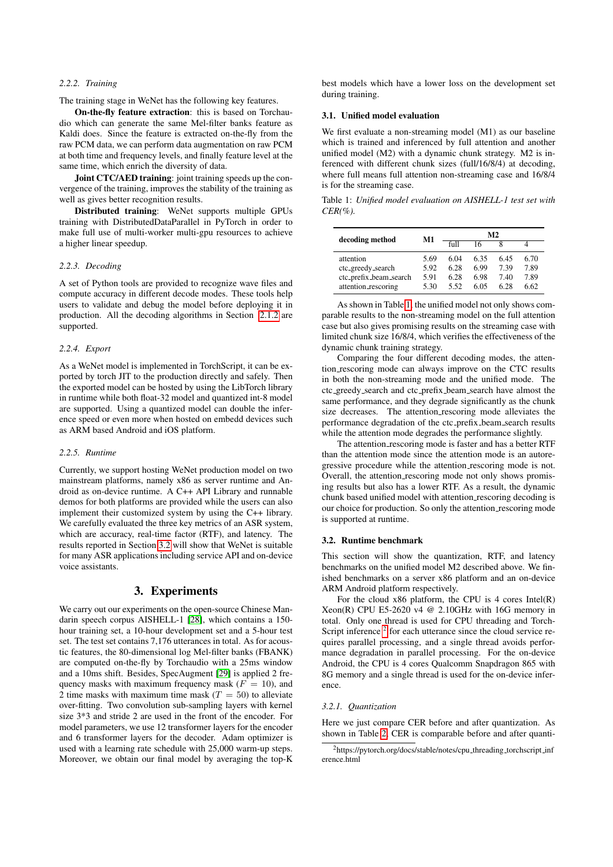### *2.2.2. Training*

The training stage in WeNet has the following key features.

On-the-fly feature extraction: this is based on Torchaudio which can generate the same Mel-filter banks feature as Kaldi does. Since the feature is extracted on-the-fly from the raw PCM data, we can perform data augmentation on raw PCM at both time and frequency levels, and finally feature level at the same time, which enrich the diversity of data.

Joint CTC/AED training: joint training speeds up the convergence of the training, improves the stability of the training as well as gives better recognition results.

Distributed training: WeNet supports multiple GPUs training with DistributedDataParallel in PyTorch in order to make full use of multi-worker multi-gpu resources to achieve a higher linear speedup.

### *2.2.3. Decoding*

A set of Python tools are provided to recognize wave files and compute accuracy in different decode modes. These tools help users to validate and debug the model before deploying it in production. All the decoding algorithms in Section [2.1.2](#page-1-2) are supported.

#### *2.2.4. Export*

As a WeNet model is implemented in TorchScript, it can be exported by torch JIT to the production directly and safely. Then the exported model can be hosted by using the LibTorch library in runtime while both float-32 model and quantized int-8 model are supported. Using a quantized model can double the inference speed or even more when hosted on embedd devices such as ARM based Android and iOS platform.

#### *2.2.5. Runtime*

Currently, we support hosting WeNet production model on two mainstream platforms, namely x86 as server runtime and Android as on-device runtime. A C++ API Library and runnable demos for both platforms are provided while the users can also implement their customized system by using the C++ library. We carefully evaluated the three key metrics of an ASR system, which are accuracy, real-time factor (RTF), and latency. The results reported in Section [3.2](#page-2-0) will show that WeNet is suitable for many ASR applications including service API and on-device voice assistants.

### 3. Experiments

We carry out our experiments on the open-source Chinese Mandarin speech corpus AISHELL-1 [\[28\]](#page-4-27), which contains a 150 hour training set, a 10-hour development set and a 5-hour test set. The test set contains 7,176 utterances in total. As for acoustic features, the 80-dimensional log Mel-filter banks (FBANK) are computed on-the-fly by Torchaudio with a 25ms window and a 10ms shift. Besides, SpecAugment [\[29\]](#page-4-28) is applied 2 frequency masks with maximum frequency mask ( $F = 10$ ), and 2 time masks with maximum time mask  $(T = 50)$  to alleviate over-fitting. Two convolution sub-sampling layers with kernel size 3\*3 and stride 2 are used in the front of the encoder. For model parameters, we use 12 transformer layers for the encoder and 6 transformer layers for the decoder. Adam optimizer is used with a learning rate schedule with 25,000 warm-up steps. Moreover, we obtain our final model by averaging the top-K best models which have a lower loss on the development set during training.

#### 3.1. Unified model evaluation

We first evaluate a non-streaming model (M1) as our baseline which is trained and inferenced by full attention and another unified model (M2) with a dynamic chunk strategy. M2 is inferenced with different chunk sizes (full/16/8/4) at decoding, where full means full attention non-streaming case and 16/8/4 is for the streaming case.

<span id="page-2-1"></span>Table 1: *Unified model evaluation on AISHELL-1 test set with CER(%).*

| decoding method                                          | M1                   | M2                   |                      |                     |                      |
|----------------------------------------------------------|----------------------|----------------------|----------------------|---------------------|----------------------|
|                                                          |                      | f <sub>11</sub>      | 16                   |                     |                      |
| attention<br>ctc_greedy_search<br>ctc_prefix_beam_search | 5.69<br>5.92<br>5.91 | 6.04<br>6.28<br>6.28 | 6.35<br>6.99<br>6.98 | 645<br>7.39<br>7.40 | 6.70<br>7.89<br>7.89 |
| attention_rescoring                                      | 5.30                 | 5.52                 | 6.05                 | 628                 | 6.62                 |

As shown in Table [1,](#page-2-1) the unified model not only shows comparable results to the non-streaming model on the full attention case but also gives promising results on the streaming case with limited chunk size 16/8/4, which verifies the effectiveness of the dynamic chunk training strategy.

Comparing the four different decoding modes, the attention rescoring mode can always improve on the CTC results in both the non-streaming mode and the unified mode. The ctc greedy search and ctc prefix beam search have almost the same performance, and they degrade significantly as the chunk size decreases. The attention rescoring mode alleviates the performance degradation of the ctc prefix beam search results while the attention mode degrades the performance slightly.

The attention rescoring mode is faster and has a better RTF than the attention mode since the attention mode is an autoregressive procedure while the attention rescoring mode is not. Overall, the attention rescoring mode not only shows promising results but also has a lower RTF. As a result, the dynamic chunk based unified model with attention rescoring decoding is our choice for production. So only the attention rescoring mode is supported at runtime.

### <span id="page-2-0"></span>3.2. Runtime benchmark

This section will show the quantization, RTF, and latency benchmarks on the unified model M2 described above. We finished benchmarks on a server x86 platform and an on-device ARM Android platform respectively.

For the cloud  $x86$  platform, the CPU is 4 cores Intel(R) Xeon(R) CPU E5-2620 v4  $@$  2.10GHz with 16G memory in total. Only one thread is used for CPU threading and Torch-Script inference<sup>[2](#page-2-2)</sup> for each utterance since the cloud service requires parallel processing, and a single thread avoids performance degradation in parallel processing. For the on-device Android, the CPU is 4 cores Qualcomm Snapdragon 865 with 8G memory and a single thread is used for the on-device inference.

#### *3.2.1. Quantization*

Here we just compare CER before and after quantization. As shown in Table [2,](#page-3-0) CER is comparable before and after quanti-

<span id="page-2-2"></span><sup>&</sup>lt;sup>2</sup>https://pytorch.org/docs/stable/notes/cpu\_threading\_torchscript\_inf erence.html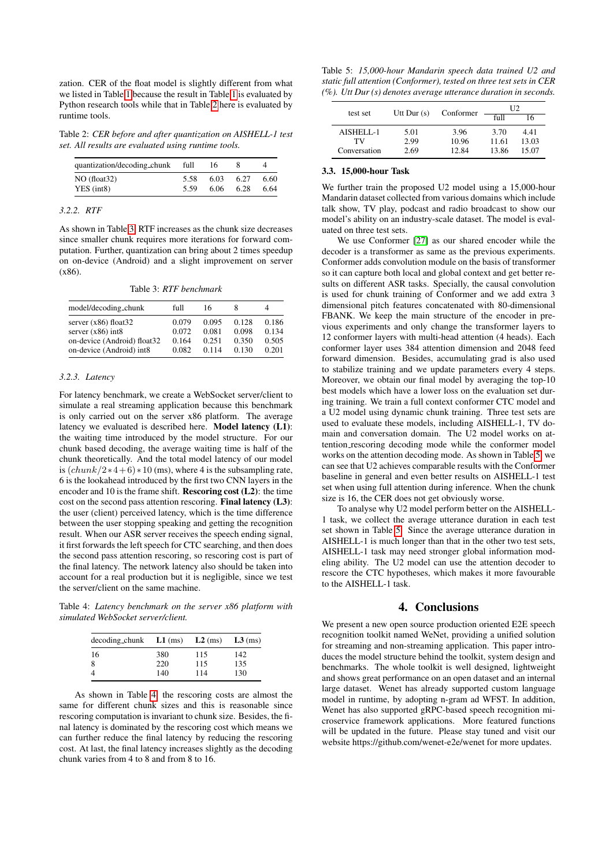zation. CER of the float model is slightly different from what we listed in Table [1](#page-2-1) because the result in Table [1](#page-2-1) is evaluated by Python research tools while that in Table [2](#page-3-0) here is evaluated by runtime tools.

<span id="page-3-0"></span>Table 2: *CER before and after quantization on AISHELL-1 test set. All results are evaluated using runtime tools.*

| 6.03<br>6.06 | 6.27<br>6.28 | 6.60<br>6.64 |
|--------------|--------------|--------------|
|              |              |              |

### *3.2.2. RTF*

As shown in Table [3,](#page-3-1) RTF increases as the chunk size decreases since smaller chunk requires more iterations for forward computation. Further, quantization can bring about 2 times speedup on on-device (Android) and a slight improvement on server (x86).

Table 3: *RTF benchmark*

<span id="page-3-1"></span>

| model/decoding_chunk                                                                                      | full                             | 16                               | 8                                |                                  |
|-----------------------------------------------------------------------------------------------------------|----------------------------------|----------------------------------|----------------------------------|----------------------------------|
| server $(x86)$ float 32<br>server $(x86)$ int8<br>on-device (Android) float32<br>on-device (Android) int8 | 0.079<br>0.072<br>0.164<br>0.082 | 0.095<br>0.081<br>0.251<br>0.114 | 0.128<br>0.098<br>0.350<br>0.130 | 0.186<br>0.134<br>0.505<br>0.201 |

#### *3.2.3. Latency*

For latency benchmark, we create a WebSocket server/client to simulate a real streaming application because this benchmark is only carried out on the server x86 platform. The average latency we evaluated is described here. Model latency (L1): the waiting time introduced by the model structure. For our chunk based decoding, the average waiting time is half of the chunk theoretically. And the total model latency of our model is  $\left(\frac{chunk}{2*4+6} * 10 \right)$  (ms), where 4 is the subsampling rate, 6 is the lookahead introduced by the first two CNN layers in the encoder and 10 is the frame shift. Rescoring cost (L2): the time cost on the second pass attention rescoring. Final latency (L3): the user (client) perceived latency, which is the time difference between the user stopping speaking and getting the recognition result. When our ASR server receives the speech ending signal, it first forwards the left speech for CTC searching, and then does the second pass attention rescoring, so rescoring cost is part of the final latency. The network latency also should be taken into account for a real production but it is negligible, since we test the server/client on the same machine.

<span id="page-3-2"></span>Table 4: *Latency benchmark on the server x86 platform with simulated WebSocket server/client.*

| $decoding_{\text{chunk}}$ $L1$ (ms) |     | $L2$ (ms) | $L3$ (ms) |
|-------------------------------------|-----|-----------|-----------|
| 16                                  | 380 | 115       | 142       |
| 8                                   | 220 | 115       | 135       |
| $\overline{4}$                      | 140 | 114       | 130       |

As shown in Table [4,](#page-3-2) the rescoring costs are almost the same for different chunk sizes and this is reasonable since rescoring computation is invariant to chunk size. Besides, the final latency is dominated by the rescoring cost which means we can further reduce the final latency by reducing the rescoring cost. At last, the final latency increases slightly as the decoding chunk varies from 4 to 8 and from 8 to 16.

<span id="page-3-3"></span>Table 5: *15,000-hour Mandarin speech data trained U2 and static full attention (Conformer), tested on three test sets in CER (%). Utt Dur (s) denotes average utterance duration in seconds.*

| test set     | Utt Dur $(s)$ | Conformer | U2              |       |
|--------------|---------------|-----------|-----------------|-------|
|              |               |           | f <sub>II</sub> | Iб    |
| AISHELL-1    | 5.01          | 3.96      | 3.70            | 441   |
| TV           | 2.99          | 10.96     | 11.61           | 13.03 |
| Conversation | 2.69          | 12.84     | 13.86           | 15.07 |

#### 3.3. 15,000-hour Task

We further train the proposed U2 model using a 15,000-hour Mandarin dataset collected from various domains which include talk show, TV play, podcast and radio broadcast to show our model's ability on an industry-scale dataset. The model is evaluated on three test sets.

We use Conformer [\[27\]](#page-4-26) as our shared encoder while the decoder is a transformer as same as the previous experiments. Conformer adds convolution module on the basis of transformer so it can capture both local and global context and get better results on different ASR tasks. Specially, the causal convolution is used for chunk training of Conformer and we add extra 3 dimensional pitch features concatenated with 80-dimensional FBANK. We keep the main structure of the encoder in previous experiments and only change the transformer layers to 12 conformer layers with multi-head attention (4 heads). Each conformer layer uses 384 attention dimension and 2048 feed forward dimension. Besides, accumulating grad is also used to stabilize training and we update parameters every 4 steps. Moreover, we obtain our final model by averaging the top-10 best models which have a lower loss on the evaluation set during training. We train a full context conformer CTC model and a U2 model using dynamic chunk training. Three test sets are used to evaluate these models, including AISHELL-1, TV domain and conversation domain. The U2 model works on attention rescoring decoding mode while the conformer model works on the attention decoding mode. As shown in Table [5,](#page-3-3) we can see that U2 achieves comparable results with the Conformer baseline in general and even better results on AISHELL-1 test set when using full attention during inference. When the chunk size is 16, the CER does not get obviously worse.

To analyse why U2 model perform better on the AISHELL-1 task, we collect the average utterance duration in each test set shown in Table [5.](#page-3-3) Since the average utterance duration in AISHELL-1 is much longer than that in the other two test sets, AISHELL-1 task may need stronger global information modeling ability. The U2 model can use the attention decoder to rescore the CTC hypotheses, which makes it more favourable to the AISHELL-1 task.

# 4. Conclusions

We present a new open source production oriented E2E speech recognition toolkit named WeNet, providing a unified solution for streaming and non-streaming application. This paper introduces the model structure behind the toolkit, system design and benchmarks. The whole toolkit is well designed, lightweight and shows great performance on an open dataset and an internal large dataset. Wenet has already supported custom language model in runtime, by adopting n-gram ad WFST. In addition, Wenet has also supported gRPC-based speech recognition microservice framework applications. More featured functions will be updated in the future. Please stay tuned and visit our website https://github.com/wenet-e2e/wenet for more updates.